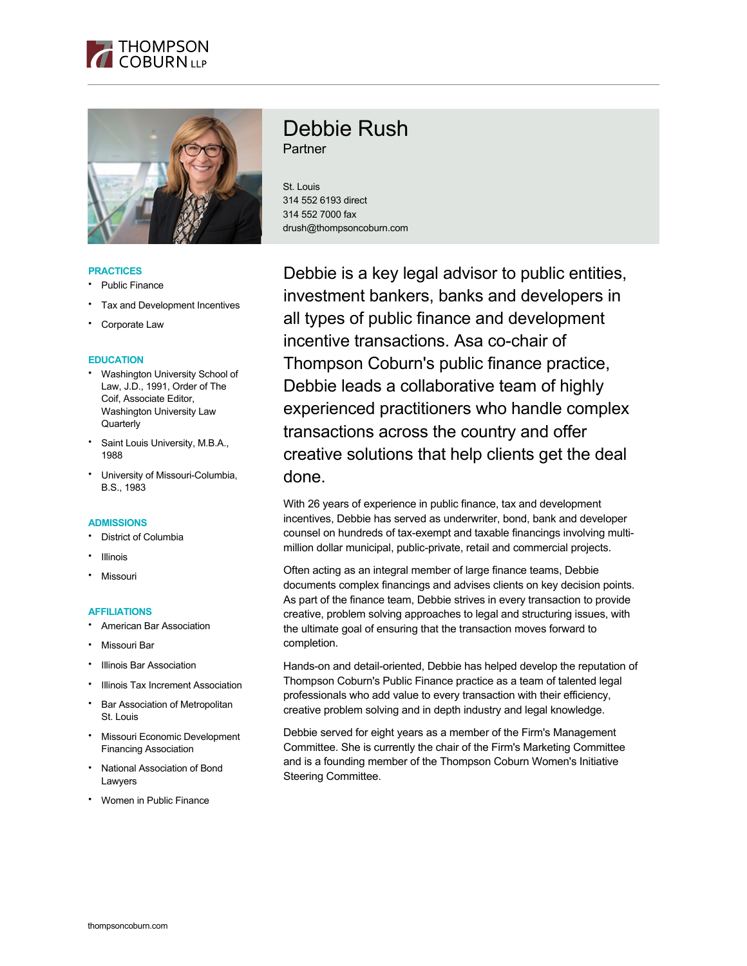



### **PRACTICES**

- Public Finance
- Tax and Development Incentives
- Corporate Law

## **EDUCATION**

- Washington University School of Law, J.D., 1991, Order of The Coif, Associate Editor, Washington University Law **Quarterly**
- Saint Louis University, M.B.A., 1988
- University of Missouri-Columbia, B.S., 1983

#### **ADMISSIONS**

- **District of Columbia**
- **Illinois**
- **Missouri**

#### **AFFILIATIONS**

- American Bar Association
- Missouri Bar
- **Illinois Bar Association**
- **Illinois Tax Increment Association**
- Bar Association of Metropolitan St. Louis
- Missouri Economic Development Financing Association
- National Association of Bond Lawyers
- Women in Public Finance

# Debbie Rush **Partner**

St. Louis 314 552 6193 direct 314 552 7000 fax drush@thompsoncoburn.com

Debbie is a key legal advisor to public entities, investment bankers, banks and developers in all types of public finance and development incentive transactions. Asa co-chair of Thompson Coburn's public finance practice, Debbie leads a collaborative team of highly experienced practitioners who handle complex transactions across the country and offer creative solutions that help clients get the deal done.

With 26 years of experience in public finance, tax and development incentives, Debbie has served as underwriter, bond, bank and developer counsel on hundreds of tax-exempt and taxable financings involving multimillion dollar municipal, public-private, retail and commercial projects.

Often acting as an integral member of large finance teams, Debbie documents complex financings and advises clients on key decision points. As part of the finance team, Debbie strives in every transaction to provide creative, problem solving approaches to legal and structuring issues, with the ultimate goal of ensuring that the transaction moves forward to completion.

Hands-on and detail-oriented, Debbie has helped develop the reputation of Thompson Coburn's Public Finance practice as a team of talented legal professionals who add value to every transaction with their efficiency, creative problem solving and in depth industry and legal knowledge.

Debbie served for eight years as a member of the Firm's Management Committee. She is currently the chair of the Firm's Marketing Committee and is a founding member of the Thompson Coburn Women's Initiative Steering Committee.